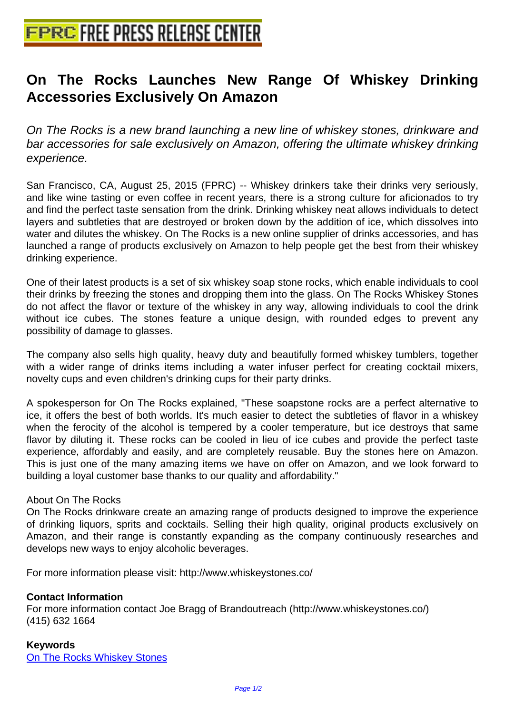## **[On The Rocks Launches New](http://www.free-press-release-center.info) Range Of Whiskey Drinking Accessories Exclusively On Amazon**

On The Rocks is a new brand launching a new line of whiskey stones, drinkware and bar accessories for sale exclusively on Amazon, offering the ultimate whiskey drinking experience.

San Francisco, CA, August 25, 2015 (FPRC) -- Whiskey drinkers take their drinks very seriously, and like wine tasting or even coffee in recent years, there is a strong culture for aficionados to try and find the perfect taste sensation from the drink. Drinking whiskey neat allows individuals to detect layers and subtleties that are destroyed or broken down by the addition of ice, which dissolves into water and dilutes the whiskey. On The Rocks is a new online supplier of drinks accessories, and has launched a range of products exclusively on Amazon to help people get the best from their whiskey drinking experience.

One of their latest products is a set of six whiskey soap stone rocks, which enable individuals to cool their drinks by freezing the stones and dropping them into the glass. On The Rocks Whiskey Stones do not affect the flavor or texture of the whiskey in any way, allowing individuals to cool the drink without ice cubes. The stones feature a unique design, with rounded edges to prevent any possibility of damage to glasses.

The company also sells high quality, heavy duty and beautifully formed whiskey tumblers, together with a wider range of drinks items including a water infuser perfect for creating cocktail mixers, novelty cups and even children's drinking cups for their party drinks.

A spokesperson for On The Rocks explained, "These soapstone rocks are a perfect alternative to ice, it offers the best of both worlds. It's much easier to detect the subtleties of flavor in a whiskey when the ferocity of the alcohol is tempered by a cooler temperature, but ice destroys that same flavor by diluting it. These rocks can be cooled in lieu of ice cubes and provide the perfect taste experience, affordably and easily, and are completely reusable. Buy the stones here on Amazon. This is just one of the many amazing items we have on offer on Amazon, and we look forward to building a loyal customer base thanks to our quality and affordability."

## About On The Rocks

On The Rocks drinkware create an amazing range of products designed to improve the experience of drinking liquors, sprits and cocktails. Selling their high quality, original products exclusively on Amazon, and their range is constantly expanding as the company continuously researches and develops new ways to enjoy alcoholic beverages.

For more information please visit: http://www.whiskeystones.co/

## **Contact Information**

For more information contact Joe Bragg of Brandoutreach (http://www.whiskeystones.co/) (415) 632 1664

## **Keywords**

On The Rocks Whiskey Stones